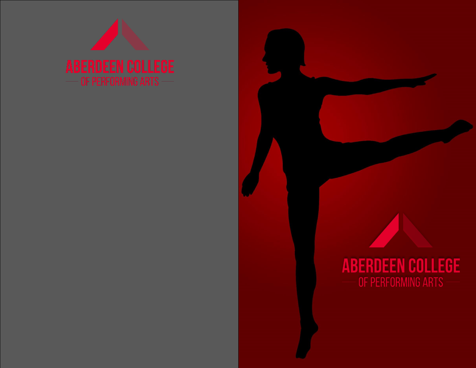

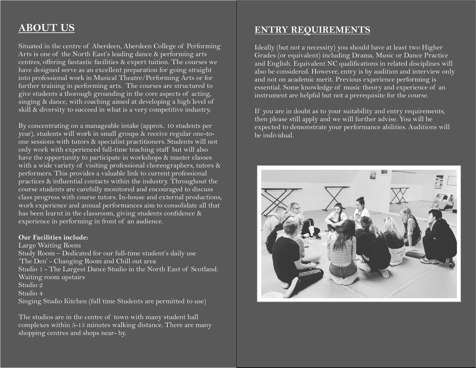# **ABOUT US**

Situated in the centre of Aberdeen, Aberdeen College of Performing Arts is one of the North East's leading dance & performing arts centres, offering fantastic facilities & expert tuition. The courses we have designed serve as an excellent preparation for going straight into professional work in Musical Theatre/Performing Arts or for further training in performing arts. The courses are structured to give students a thorough grounding in the core aspects of acting, singing & dance, with coaching aimed at developing a high level of skill & diversity to succeed in what is a very competitive industry.

By concentrating on a manageable intake (approx. 10 students per year), students will work in small groups & receive regular one-toone sessions with tutors & specialist practitioners. Students will not only work with experienced full-time teaching staff but will also have the opportunity to participate in workshops & master classes with a wide variety of visiting professional choreographers, tutors & performers. This provides a valuable link to current professional practices & influential contacts within the industry. Throughout the course students are carefully monitored and encouraged to discuss class progress with course tutors. In-house and external productions, work experience and annual performances aim to consolidate all that has been learnt in the classroom, giving students confidence & experience in performing in front of an audience.

#### **Our Facilities include:**

Large Waiting Room Study Room – Dedicated for our full-time student's daily use 'The Den' - Changing Room and Chill out area Studio 1 - The Largest Dance Studio in the North East of Scotland. Waiting room upstairs Studio 2 Studio 4 Singing Studio Kitchen (full time Students are permitted to use)

The studios are in the centre of town with many student hall complexes within 5-15 minutes walking distance. There are many shopping centres and shops near- by.

### **ENTRY REQUIREMENTS**

Ideally (but not a necessity) you should have at least two Higher Grades (or equivalent) including Drama, Music or Dance Practice and English. Equivalent NC qualifications in related disciplines will also be considered. However, entry is by audition and interview only and not on academic merit. Previous experience performing is essential. Some knowledge of music theory and experience of an instrument are helpful but not a prerequisite for the course.

If you are in doubt as to your suitability and entry requirements, then please still apply and we will further advise. You will be expected to demonstrate your performance abilities. Auditions will be individual.

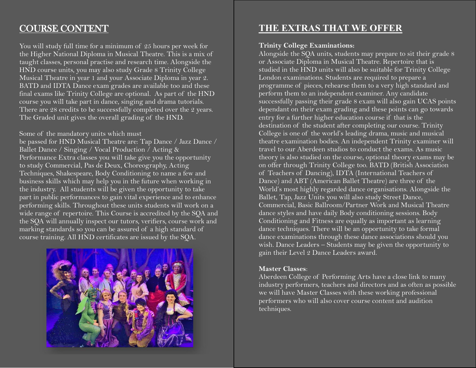## COURSE CONTENT

You will study full time for a minimum of 25 hours per week for the Higher National Diploma in Musical Theatre. This is a mix of taught classes, personal practise and research time. Alongside the HND course units, you may also study Grade 8 Trinity College Musical Theatre in year 1 and your Associate Diploma in year 2. BATD and IDTA Dance exam grades are available too and these final exams like Trinity College are optional. As part of the HND course you will take part in dance, singing and drama tutorials. There are 28 credits to be successfully completed over the 2 years. The Graded unit gives the overall grading of the HND.

Some of the mandatory units which must

be passed for HND Musical Theatre are: Tap Dance / Jazz Dance / Ballet Dance / Singing / Vocal Production / Acting & Performance Extra classes you will take give you the opportunity to study Commercial, Pas de Deux, Choreography, Acting Techniques, Shakespeare, Body Conditioning to name a few and business skills which may help you in the future when working in the industry. All students will be given the opportunity to take part in public performances to gain vital experience and to enhance performing skills. Throughout these units students will work on a wide range of repertoire. This Course is accredited by the SQA and the SQA will annually inspect our tutors, verifiers, course work and marking standards so you can be assured of a high standard of course training. All HND certificates are issued by the SQA.



## **THE EXTRAS THAT WE OFFER**

#### **Trinity College Examinations:**

Alongside the SQA units, students may prepare to sit their grade 8 or Associate Diploma in Musical Theatre. Repertoire that is studied in the HND units will also be suitable for Trinity College London examinations. Students are required to prepare a programme of pieces, rehearse them to a very high standard and perform them to an independent examiner. Any candidate successfully passing their grade 8 exam will also gain UCAS points dependant on their exam grading and these points can go towards entry for a further higher education course if that is the destination of the student after completing our course. Trinity College is one of the world's leading drama, music and musical theatre examination bodies. An independent Trinity examiner will travel to our Aberdeen studios to conduct the exams. As music theory is also studied on the course, optional theory exams may be on offer through Trinity College too. BATD (British Association of Teachers of Dancing), IDTA (International Teachers of Dance) and ABT (American Ballet Theatre) are three of the World's most highly regarded dance organisations. Alongside the Ballet, Tap, Jazz Units you will also study Street Dance, Commercial, Basic Ballroom/Partner Work and Musical Theatre dance styles and have daily Body conditioning sessions. Body Conditioning and Fitness are equally as important as learning dance techniques. There will be an opportunity to take formal dance examinations through these dance associations should you wish. Dance Leaders – Students may be given the opportunity to gain their Level 2 Dance Leaders award.

#### **Master Classes**:

Aberdeen College of Performing Arts have a close link to many industry performers, teachers and directors and as often as possible we will have Master Classes with these working professional performers who will also cover course content and audition techniques.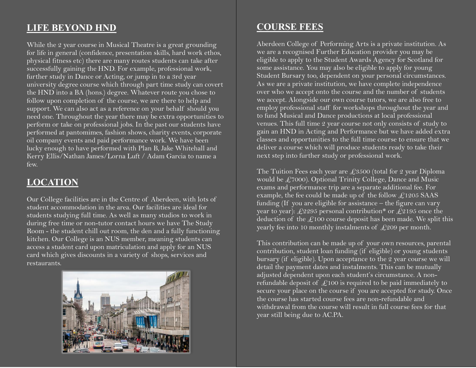## **LIFE BEYOND HND**

While the 2 year course in Musical Theatre is a great grounding for life in general (confidence, presentation skills, hard work ethos, physical fitness etc) there are many routes students can take after successfully gaining the HND. For example, professional work, further study in Dance or Acting, or jump in to a 3rd year university degree course which through part time study can covert the HND into a BA (hons.) degree. Whatever route you chose to follow upon completion of the course, we are there to help and support. We can also act as a reference on your behalf should you need one. Throughout the year there may be extra opportunities to perform or take on professional jobs. In the past our students have performed at pantomimes, fashion shows, charity events, corporate oil company events and paid performance work. We have been lucky enough to have performed with Plan B, Jake Whitehall and Kerry Ellis/Nathan James/Lorna Luft / Adam Garcia to name a few.

### **LOCATION**

Our College facilities are in the Centre of Aberdeen, with lots of student accommodation in the area. Our facilities are ideal for students studying full time. As well as many studios to work in during free time or non-tutor contact hours we have The Study Room - the student chill out room, the den and a fully functioning kitchen. Our College is an NUS member, meaning students can access a student card upon matriculation and apply for an NUS card which gives discounts in a variety of shops, services and restaurants.



### **COURSE FEES**

Aberdeen College of Performing Arts is a private institution. As we are a recognised Further Education provider you may be eligible to apply to the Student Awards Agency for Scotland for some assistance. You may also be eligible to apply for young Student Bursary too, dependent on your personal circumstances. As we are a private institution, we have complete independence over who we accept onto the course and the number of students we accept. Alongside our own course tutors, we are also free to employ professional staff for workshops throughout the year and to fund Musical and Dance productions at local professional venues. This full time 2 year course not only consists of study to gain an HND in Acting and Performance but we have added extra classes and opportunities to the full time course to ensure that we deliver a course which will produce students ready to take their next step into further study or professional work.

The Tuition Fees each year are  $\text{\textsterling}3500$  (total for 2 year Diploma would be  $\text{\textsterling}7000$ . Optional Trinity College, Dance and Music exams and performance trip are a separate additional fee. For example, the fee could be made up of the follow  $\mathcal{L}1205$  SAAS funding (If you are eligible for assistance – the figure can vary year to year): £2295 personal contribution\* or £2195 once the deduction of the  $\mathcal{L}100$  course deposit has been made. We split this yearly fee into 10 monthly instalments of  $\text{\LARGE{209}}$  per month.

This contribution can be made up of your own resources, parental contribution, student loan funding (if eligible) or young students bursary (if eligible). Upon acceptance to the 2 year course we will detail the payment dates and instalments. This can be mutually adjusted dependent upon each student's circumstance. A nonrefundable deposit of  $\mathcal{L}$ 100 is required to be paid immediately to secure your place on the course if you are accepted for study. Once the course has started course fees are non-refundable and withdrawal from the course will result in full course fees for that year still being due to AC.PA.